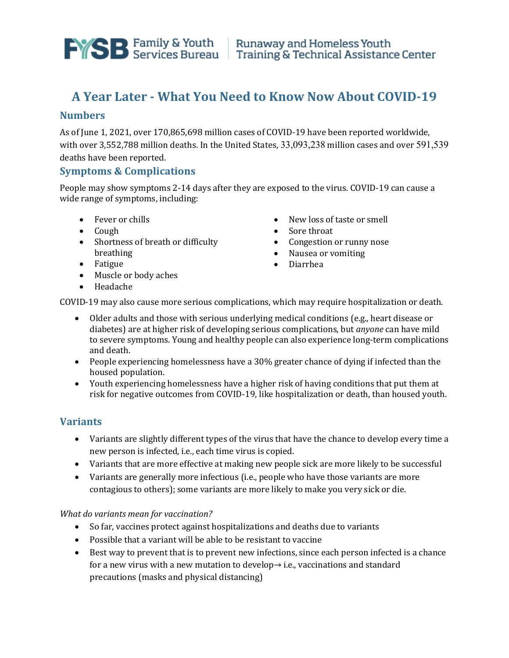

# **A Year Later - What You Need to Know Now About COVID-19**

## **Numbers**

As of June 1, 2021, over 170,865,698 million cases of COVID-19 have been reported worldwide, with over 3,552,788 million deaths. In the United States, 33,093,238 million cases and over 591,539 deaths have been reported.

# **Symptoms & Complications**

People may show symptoms 2-14 days after they are exposed to the virus. COVID-19 can cause a wide range of symptoms, including:

- Fever or chills
- Cough
- Shortness of breath or difficulty breathing
- Fatigue
- Muscle or body aches
- Headache
- New loss of taste or smell
- Sore throat
- Congestion or runny nose
- Nausea or vomiting
- Diarrhea

COVID-19 may also cause more serious complications, which may require hospitalization or death.

- Older adults and those with serious underlying medical conditions (e.g., heart disease or diabetes) are at higher risk of developing serious complications, but *anyone* can have mild to severe symptoms. Young and healthy people can also experience long-term complications and death.
- People experiencing homelessness have a 30% greater chance of dying if infected than the housed population.
- Youth experiencing homelessness have a higher risk of having conditions that put them at risk for negative outcomes from COVID-19, like hospitalization or death, than housed youth.

# **Variants**

- Variants are slightly different types of the virus that have the chance to develop every time a new person is infected, i.e., each time virus is copied.
- Variants that are more effective at making new people sick are more likely to be successful
- Variants are generally more infectious (i.e., people who have those variants are more contagious to others); some variants are more likely to make you very sick or die.

*What do variants mean for vaccination?* 

- So far, vaccines protect against hospitalizations and deaths due to variants
- Possible that a variant will be able to be resistant to vaccine
- Best way to prevent that is to prevent new infections, since each person infected is a chance for a new virus with a new mutation to develop→ i.e., vaccinations and standard precautions (masks and physical distancing)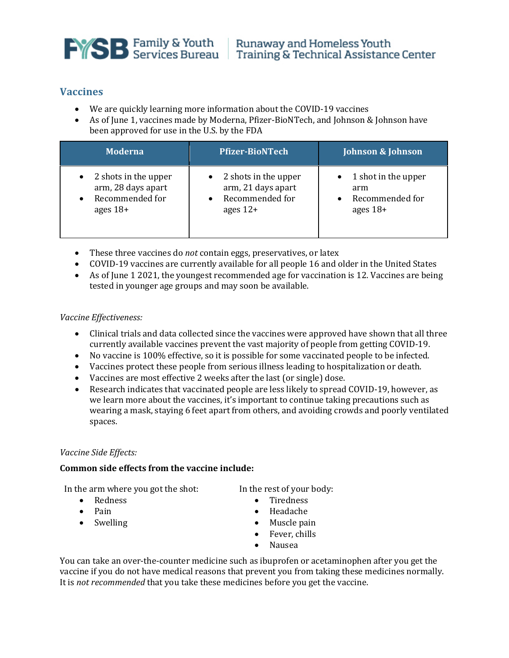

# **Vaccines**

- We are quickly learning more information about the COVID-19 vaccines
- As of June 1, vaccines made by Moderna, Pfizer-BioNTech, and Johnson & Johnson have been approved for use in the U.S. by the FDA

| <b>Moderna</b>                                                              | <b>Pfizer-BioNTech</b>                                                                | <b>Johnson &amp; Johnson</b>                                             |
|-----------------------------------------------------------------------------|---------------------------------------------------------------------------------------|--------------------------------------------------------------------------|
| 2 shots in the upper<br>arm, 28 days apart<br>Recommended for<br>ages $18+$ | $\bullet$ 2 shots in the upper<br>arm, 21 days apart<br>Recommended for<br>ages $12+$ | 1 shot in the upper<br>$\bullet$<br>arm<br>Recommended for<br>ages $18+$ |

- These three vaccines do *not* contain eggs, preservatives, or latex
- COVID-19 vaccines are currently available for all people 16 and older in the United States
- As of June 1 2021, the youngest recommended age for vaccination is 12. Vaccines are being tested in younger age groups and may soon be available.

## *Vaccine Effectiveness:*

- Clinical trials and data collected since the vaccines were approved have shown that all three currently available vaccines prevent the vast majority of people from getting COVID-19.
- No vaccine is 100% effective, so it is possible for some vaccinated people to be infected.
- Vaccines protect these people from serious illness leading to hospitalization or death.
- Vaccines are most effective 2 weeks after the last (or single) dose.<br>• Research indicates that vaccinated people are less likely to spread
- Research indicates that vaccinated people are less likely to spread COVID-19, however, as we learn more about the vaccines, it's important to continue taking precautions such as wearing a mask, staying 6 feet apart from others, and avoiding crowds and poorly ventilated spaces.

## *Vaccine Side Effects:*

## **Common side effects from the vaccine include:**

In the arm where you got the shot:

- Redness
- Pain
- Swelling
- In the rest of your body:
	- Tiredness
	- Headache
	- Muscle pain
	- Fever, chills
	- Nausea

You can take an over-the-counter medicine such as ibuprofen or acetaminophen after you get the vaccine if you do not have medical reasons that prevent you from taking these medicines normally. It is *not recommended* that you take these medicines before you get the vaccine.